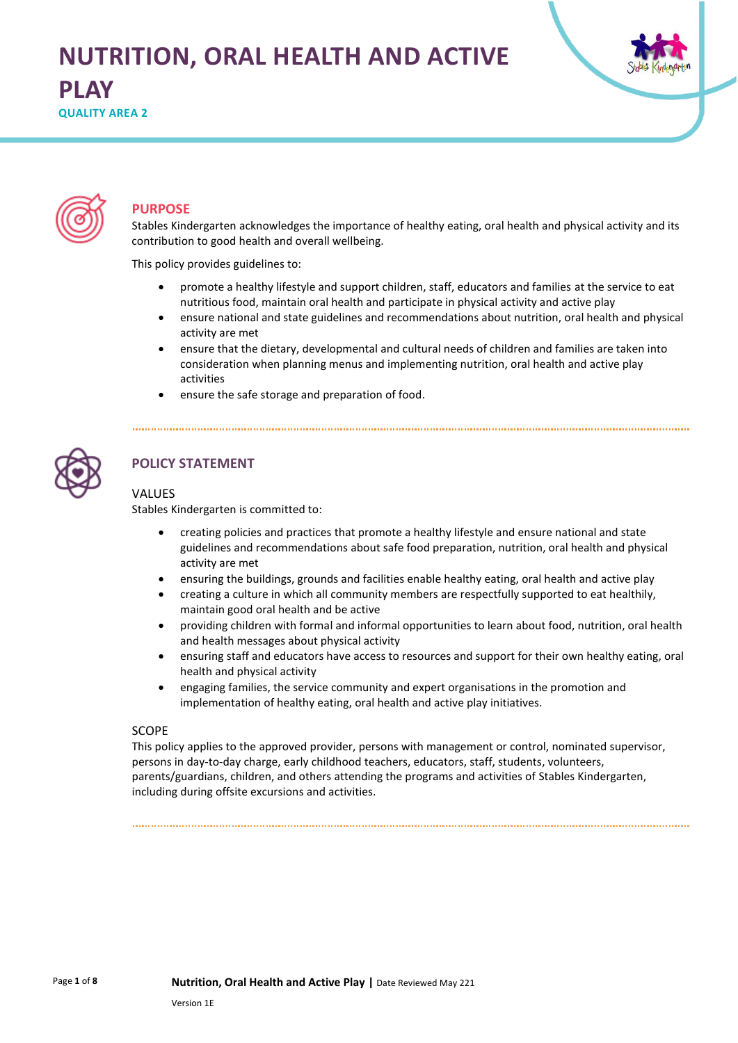# **NUTRITION, ORAL HEALTH AND ACTIVE PLAY**

**QUALITY AREA 2** 





# **PURPOSE**

Stables Kindergarten acknowledges the importance of healthy eating, oral health and physical activity and its contribution to good health and overall wellbeing.

This policy provides guidelines to:

- promote a healthy lifestyle and support children, staff, educators and families at the service to eat nutritious food, maintain oral health and participate in physical activity and active play
- ensure national and state guidelines and recommendations about nutrition, oral health and physical activity are met
- ensure that the dietary, developmental and cultural needs of children and families are taken into consideration when planning menus and implementing nutrition, oral health and active play activities
- ensure the safe storage and preparation of food.



# **POLICY STATEMENT**

## VALUES

Stables Kindergarten is committed to:

- creating policies and practices that promote a healthy lifestyle and ensure national and state guidelines and recommendations about safe food preparation, nutrition, oral health and physical activity are met
- ensuring the buildings, grounds and facilities enable healthy eating, oral health and active play
- creating a culture in which all community members are respectfully supported to eat healthily, maintain good oral health and be active
- providing children with formal and informal opportunities to learn about food, nutrition, oral health and health messages about physical activity
- ensuring staff and educators have access to resources and support for their own healthy eating, oral health and physical activity
- engaging families, the service community and expert organisations in the promotion and implementation of healthy eating, oral health and active play initiatives.

#### SCOPE

This policy applies to the approved provider, persons with management or control, nominated supervisor, persons in day-to-day charge, early childhood teachers, educators, staff, students, volunteers, parents/guardians, children, and others attending the programs and activities of Stables Kindergarten, including during offsite excursions and activities.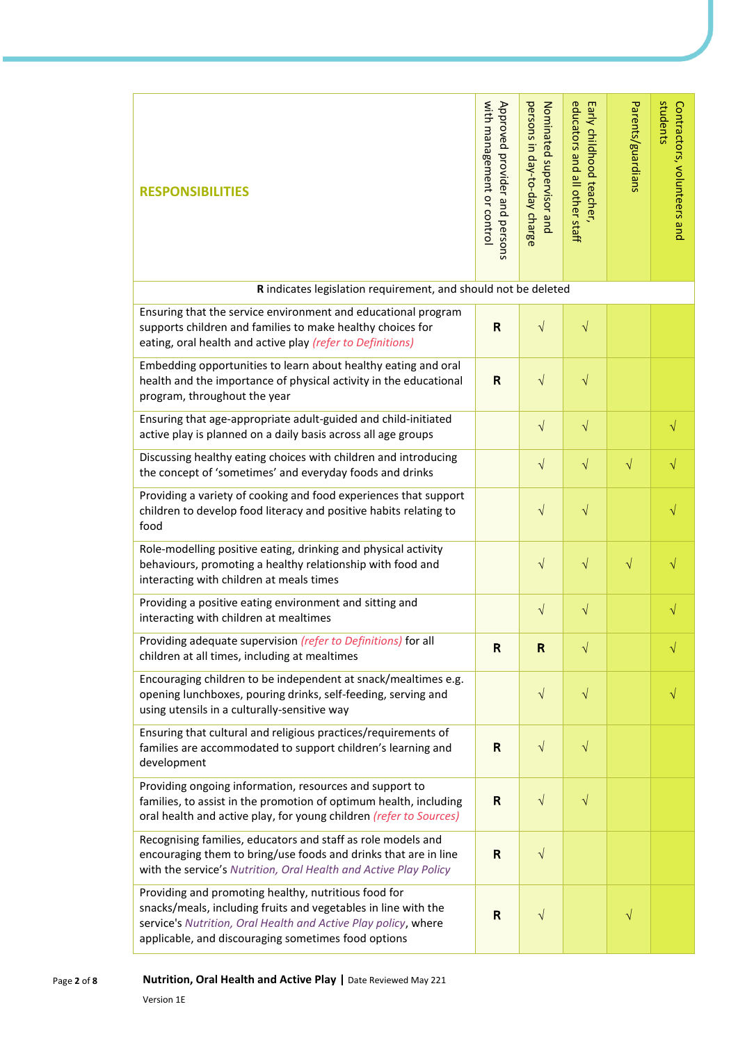| <b>RESPONSIBILITIES</b>                                                                                                                                                                                                                         | with management or control<br>Approved provider and persons | persons in day-to-day charge<br>Nominated supervisor and | educators and all other staff<br>Early childhood teacher, | Parents/guardians | students<br>Contractors, volunteers and |
|-------------------------------------------------------------------------------------------------------------------------------------------------------------------------------------------------------------------------------------------------|-------------------------------------------------------------|----------------------------------------------------------|-----------------------------------------------------------|-------------------|-----------------------------------------|
| R indicates legislation requirement, and should not be deleted                                                                                                                                                                                  |                                                             |                                                          |                                                           |                   |                                         |
| Ensuring that the service environment and educational program<br>supports children and families to make healthy choices for<br>eating, oral health and active play (refer to Definitions)                                                       | R                                                           | $\sqrt{ }$                                               | $\sqrt{}$                                                 |                   |                                         |
| Embedding opportunities to learn about healthy eating and oral<br>health and the importance of physical activity in the educational<br>program, throughout the year                                                                             | $\mathsf{R}$                                                | $\sqrt{}$                                                | $\sqrt{}$                                                 |                   |                                         |
| Ensuring that age-appropriate adult-guided and child-initiated<br>active play is planned on a daily basis across all age groups                                                                                                                 |                                                             | $\sqrt{}$                                                | $\sqrt{}$                                                 |                   | $\sqrt{}$                               |
| Discussing healthy eating choices with children and introducing<br>the concept of 'sometimes' and everyday foods and drinks                                                                                                                     |                                                             | $\sqrt{}$                                                | $\sqrt{}$                                                 | $\sqrt{}$         | V                                       |
| Providing a variety of cooking and food experiences that support<br>children to develop food literacy and positive habits relating to<br>food                                                                                                   |                                                             | $\sqrt{}$                                                | $\sqrt{}$                                                 |                   | V                                       |
| Role-modelling positive eating, drinking and physical activity<br>behaviours, promoting a healthy relationship with food and<br>interacting with children at meals times                                                                        |                                                             | $\sqrt{}$                                                | $\sqrt{}$                                                 | $\sqrt{}$         |                                         |
| Providing a positive eating environment and sitting and<br>interacting with children at mealtimes                                                                                                                                               |                                                             | $\sqrt{}$                                                | $\sqrt{}$                                                 |                   | V                                       |
| Providing adequate supervision (refer to Definitions) for all<br>children at all times, including at mealtimes                                                                                                                                  | $\mathsf{R}$                                                | $\mathsf{R}$                                             | V                                                         |                   |                                         |
| Encouraging children to be independent at snack/mealtimes e.g.<br>opening lunchboxes, pouring drinks, self-feeding, serving and<br>using utensils in a culturally-sensitive way                                                                 |                                                             | $\sqrt{}$                                                | $\sqrt{}$                                                 |                   |                                         |
| Ensuring that cultural and religious practices/requirements of<br>families are accommodated to support children's learning and<br>development                                                                                                   | R                                                           | $\sqrt{}$                                                | $\sqrt{}$                                                 |                   |                                         |
| Providing ongoing information, resources and support to<br>families, to assist in the promotion of optimum health, including<br>oral health and active play, for young children (refer to Sources)                                              | $\mathsf{R}$                                                | $\sqrt{}$                                                | $\sqrt{}$                                                 |                   |                                         |
| Recognising families, educators and staff as role models and<br>encouraging them to bring/use foods and drinks that are in line<br>with the service's Nutrition, Oral Health and Active Play Policy                                             | R                                                           | $\sqrt{}$                                                |                                                           |                   |                                         |
| Providing and promoting healthy, nutritious food for<br>snacks/meals, including fruits and vegetables in line with the<br>service's Nutrition, Oral Health and Active Play policy, where<br>applicable, and discouraging sometimes food options | $\mathsf{R}$                                                | $\sqrt{}$                                                |                                                           | $\sqrt{}$         |                                         |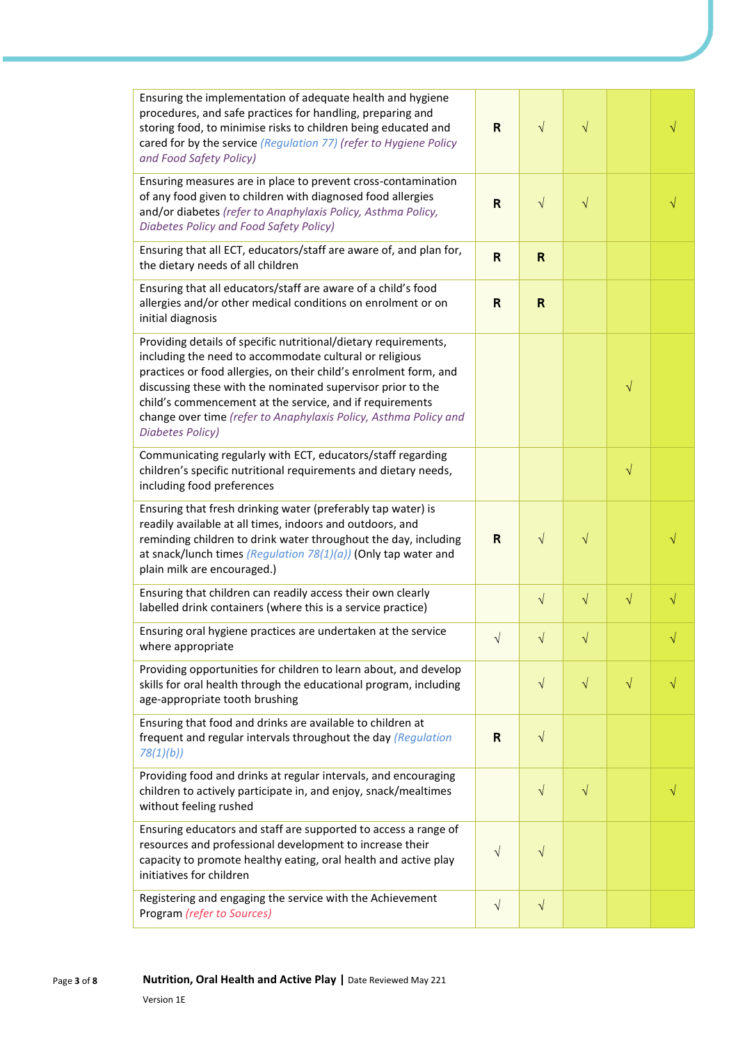| Ensuring the implementation of adequate health and hygiene<br>procedures, and safe practices for handling, preparing and<br>storing food, to minimise risks to children being educated and<br>cared for by the service (Regulation 77) (refer to Hygiene Policy<br>and Food Safety Policy)                                                                                                                                | $\mathsf{R}$ | $\sqrt{ }$   | $\sqrt{}$ |           |  |
|---------------------------------------------------------------------------------------------------------------------------------------------------------------------------------------------------------------------------------------------------------------------------------------------------------------------------------------------------------------------------------------------------------------------------|--------------|--------------|-----------|-----------|--|
| Ensuring measures are in place to prevent cross-contamination<br>of any food given to children with diagnosed food allergies<br>and/or diabetes (refer to Anaphylaxis Policy, Asthma Policy,<br>Diabetes Policy and Food Safety Policy)                                                                                                                                                                                   | R            | $\sqrt{}$    | $\sqrt{}$ |           |  |
| Ensuring that all ECT, educators/staff are aware of, and plan for,<br>the dietary needs of all children                                                                                                                                                                                                                                                                                                                   | $\mathsf{R}$ | R            |           |           |  |
| Ensuring that all educators/staff are aware of a child's food<br>allergies and/or other medical conditions on enrolment or on<br>initial diagnosis                                                                                                                                                                                                                                                                        | $\mathsf{R}$ | $\mathsf{R}$ |           |           |  |
| Providing details of specific nutritional/dietary requirements,<br>including the need to accommodate cultural or religious<br>practices or food allergies, on their child's enrolment form, and<br>discussing these with the nominated supervisor prior to the<br>child's commencement at the service, and if requirements<br>change over time (refer to Anaphylaxis Policy, Asthma Policy and<br><b>Diabetes Policy)</b> |              |              |           | $\sqrt{}$ |  |
| Communicating regularly with ECT, educators/staff regarding<br>children's specific nutritional requirements and dietary needs,<br>including food preferences                                                                                                                                                                                                                                                              |              |              |           | $\sqrt{}$ |  |
| Ensuring that fresh drinking water (preferably tap water) is<br>readily available at all times, indoors and outdoors, and<br>reminding children to drink water throughout the day, including<br>at snack/lunch times (Regulation $78(1)(a)$ ) (Only tap water and<br>plain milk are encouraged.)                                                                                                                          | R            | $\sqrt{ }$   | $\sqrt{}$ |           |  |
| Ensuring that children can readily access their own clearly<br>labelled drink containers (where this is a service practice)                                                                                                                                                                                                                                                                                               |              | $\sqrt{}$    | $\sqrt{}$ | $\sqrt{}$ |  |
| Ensuring oral hygiene practices are undertaken at the service<br>where appropriate                                                                                                                                                                                                                                                                                                                                        | $\sqrt{}$    | $\sqrt{}$    | $\sqrt{}$ |           |  |
| Providing opportunities for children to learn about, and develop<br>skills for oral health through the educational program, including<br>age-appropriate tooth brushing                                                                                                                                                                                                                                                   |              | $\sqrt{}$    | $\sqrt{}$ | $\sqrt{}$ |  |
| Ensuring that food and drinks are available to children at<br>frequent and regular intervals throughout the day (Regulation<br>78(1)(b)                                                                                                                                                                                                                                                                                   | R            | $\sqrt{}$    |           |           |  |
| Providing food and drinks at regular intervals, and encouraging<br>children to actively participate in, and enjoy, snack/mealtimes<br>without feeling rushed                                                                                                                                                                                                                                                              |              | $\sqrt{}$    | $\sqrt{}$ |           |  |
| Ensuring educators and staff are supported to access a range of<br>resources and professional development to increase their<br>capacity to promote healthy eating, oral health and active play<br>initiatives for children                                                                                                                                                                                                | $\sqrt{}$    | $\sqrt{}$    |           |           |  |
| Registering and engaging the service with the Achievement<br>Program (refer to Sources)                                                                                                                                                                                                                                                                                                                                   | $\sqrt{}$    | $\sqrt{}$    |           |           |  |
| Nutrition, Oral Health and Active Play   Date Reviewed May 221<br>Version 1E                                                                                                                                                                                                                                                                                                                                              |              |              |           |           |  |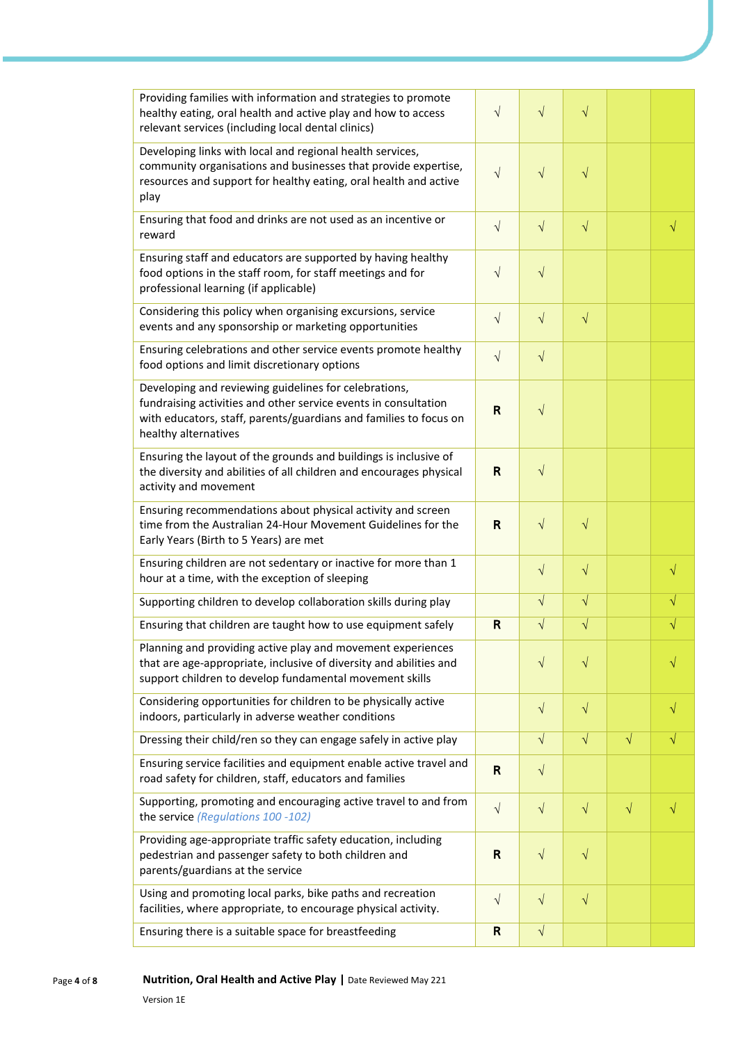| Providing families with information and strategies to promote<br>healthy eating, oral health and active play and how to access<br>relevant services (including local dental clinics)                                  | $\sqrt{}$    | $\sqrt{}$  | $\sqrt{}$ |           |           |
|-----------------------------------------------------------------------------------------------------------------------------------------------------------------------------------------------------------------------|--------------|------------|-----------|-----------|-----------|
| Developing links with local and regional health services,<br>community organisations and businesses that provide expertise,<br>resources and support for healthy eating, oral health and active<br>play               | $\sqrt{}$    | $\sqrt{}$  | $\sqrt{}$ |           |           |
| Ensuring that food and drinks are not used as an incentive or<br>reward                                                                                                                                               | $\sqrt{ }$   | $\sqrt{}$  | $\sqrt{}$ |           | $\sqrt{}$ |
| Ensuring staff and educators are supported by having healthy<br>food options in the staff room, for staff meetings and for<br>professional learning (if applicable)                                                   | $\sqrt{ }$   | $\sqrt{}$  |           |           |           |
| Considering this policy when organising excursions, service<br>events and any sponsorship or marketing opportunities                                                                                                  | $\sqrt{ }$   | $\sqrt{ }$ | $\sqrt{}$ |           |           |
| Ensuring celebrations and other service events promote healthy<br>food options and limit discretionary options                                                                                                        | $\sqrt{ }$   | $\sqrt{}$  |           |           |           |
| Developing and reviewing guidelines for celebrations,<br>fundraising activities and other service events in consultation<br>with educators, staff, parents/guardians and families to focus on<br>healthy alternatives | R            | $\sqrt{}$  |           |           |           |
| Ensuring the layout of the grounds and buildings is inclusive of<br>the diversity and abilities of all children and encourages physical<br>activity and movement                                                      | R            | $\sqrt{ }$ |           |           |           |
| Ensuring recommendations about physical activity and screen<br>time from the Australian 24-Hour Movement Guidelines for the<br>Early Years (Birth to 5 Years) are met                                                 | R            | $\sqrt{ }$ | $\sqrt{}$ |           |           |
| Ensuring children are not sedentary or inactive for more than 1<br>hour at a time, with the exception of sleeping                                                                                                     |              | $\sqrt{ }$ | $\sqrt{}$ |           | $\sqrt{}$ |
| Supporting children to develop collaboration skills during play                                                                                                                                                       |              | $\sqrt{}$  | $\sqrt{}$ |           | $\sqrt{}$ |
| Ensuring that children are taught how to use equipment safely                                                                                                                                                         | R            | $\sqrt{ }$ | $\sqrt{}$ |           | $\sqrt{}$ |
| Planning and providing active play and movement experiences<br>that are age-appropriate, inclusive of diversity and abilities and<br>support children to develop fundamental movement skills                          |              | $\sqrt{ }$ | $\sqrt{}$ |           |           |
| Considering opportunities for children to be physically active<br>indoors, particularly in adverse weather conditions                                                                                                 |              | $\sqrt{ }$ | $\sqrt{}$ |           | V         |
| Dressing their child/ren so they can engage safely in active play                                                                                                                                                     |              | $\sqrt{ }$ | $\sqrt{}$ | $\sqrt{}$ | $\sqrt{}$ |
| Ensuring service facilities and equipment enable active travel and<br>road safety for children, staff, educators and families                                                                                         | $\mathsf{R}$ | $\sqrt{}$  |           |           |           |
| Supporting, promoting and encouraging active travel to and from<br>the service (Regulations 100 -102)                                                                                                                 | $\sqrt{}$    | $\sqrt{ }$ | $\sqrt{}$ | $\sqrt{}$ | $\sqrt{}$ |
| Providing age-appropriate traffic safety education, including<br>pedestrian and passenger safety to both children and<br>parents/guardians at the service                                                             | R            | $\sqrt{ }$ | $\sqrt{}$ |           |           |
| Using and promoting local parks, bike paths and recreation<br>facilities, where appropriate, to encourage physical activity.                                                                                          | $\sqrt{}$    | $\sqrt{}$  | $\sqrt{}$ |           |           |
| Ensuring there is a suitable space for breastfeeding                                                                                                                                                                  | R            | $\sqrt{ }$ |           |           |           |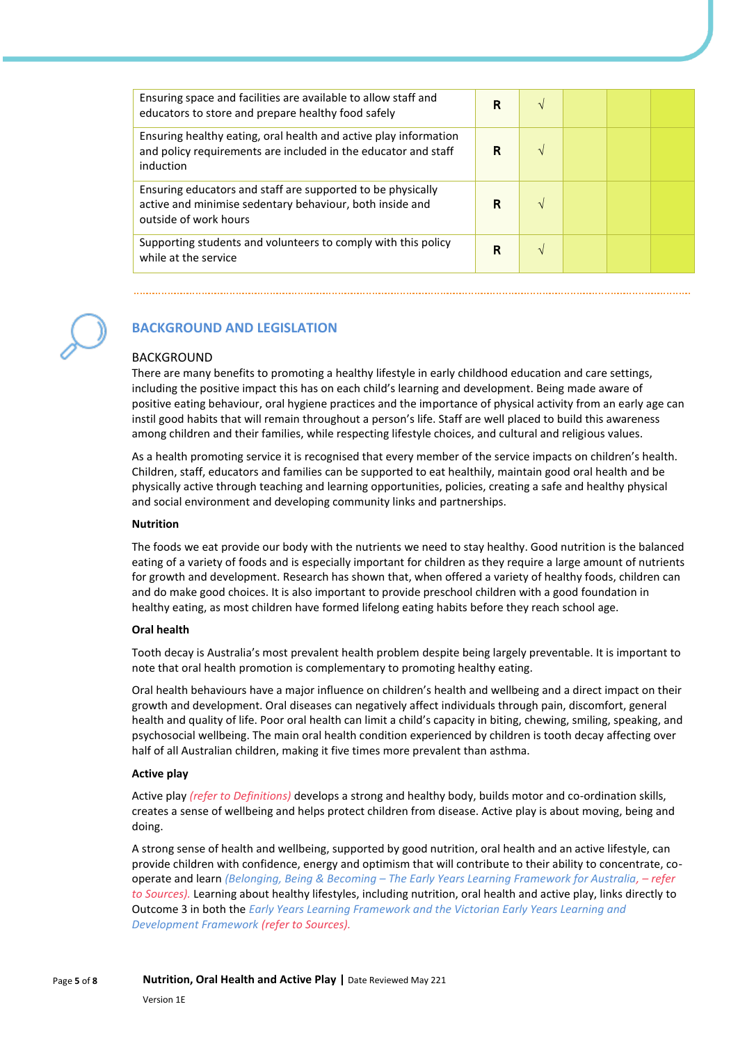| Ensuring space and facilities are available to allow staff and<br>educators to store and prepare healthy food safely                             | R | N             |  |  |
|--------------------------------------------------------------------------------------------------------------------------------------------------|---|---------------|--|--|
| Ensuring healthy eating, oral health and active play information<br>and policy requirements are included in the educator and staff<br>induction  | R | $\mathcal{N}$ |  |  |
| Ensuring educators and staff are supported to be physically<br>active and minimise sedentary behaviour, both inside and<br>outside of work hours | R |               |  |  |
| Supporting students and volunteers to comply with this policy<br>while at the service                                                            | R |               |  |  |



# **BACKGROUND AND LEGISLATION**

#### BACKGROUND

There are many benefits to promoting a healthy lifestyle in early childhood education and care settings, including the positive impact this has on each child's learning and development. Being made aware of positive eating behaviour, oral hygiene practices and the importance of physical activity from an early age can instil good habits that will remain throughout a person's life. Staff are well placed to build this awareness among children and their families, while respecting lifestyle choices, and cultural and religious values.

As a health promoting service it is recognised that every member of the service impacts on children's health. Children, staff, educators and families can be supported to eat healthily, maintain good oral health and be physically active through teaching and learning opportunities, policies, creating a safe and healthy physical and social environment and developing community links and partnerships.

#### **Nutrition**

The foods we eat provide our body with the nutrients we need to stay healthy. Good nutrition is the balanced eating of a variety of foods and is especially important for children as they require a large amount of nutrients for growth and development. Research has shown that, when offered a variety of healthy foods, children can and do make good choices. It is also important to provide preschool children with a good foundation in healthy eating, as most children have formed lifelong eating habits before they reach school age.

#### **Oral health**

Tooth decay is Australia's most prevalent health problem despite being largely preventable. It is important to note that oral health promotion is complementary to promoting healthy eating.

Oral health behaviours have a major influence on children's health and wellbeing and a direct impact on their growth and development. Oral diseases can negatively affect individuals through pain, discomfort, general health and quality of life. Poor oral health can limit a child's capacity in biting, chewing, smiling, speaking, and psychosocial wellbeing. The main oral health condition experienced by children is tooth decay affecting over half of all Australian children, making it five times more prevalent than asthma.

#### **Active play**

Active play *(refer to Definitions)* develops a strong and healthy body, builds motor and co-ordination skills, creates a sense of wellbeing and helps protect children from disease. Active play is about moving, being and doing.

A strong sense of health and wellbeing, supported by good nutrition, oral health and an active lifestyle, can provide children with confidence, energy and optimism that will contribute to their ability to concentrate, cooperate and learn *(Belonging, Being & Becoming – The Early Years Learning Framework for Australia, – refer to Sources).* Learning about healthy lifestyles, including nutrition, oral health and active play, links directly to Outcome 3 in both the *Early Years Learning Framework and the Victorian Early Years Learning and Development Framework (refer to Sources).*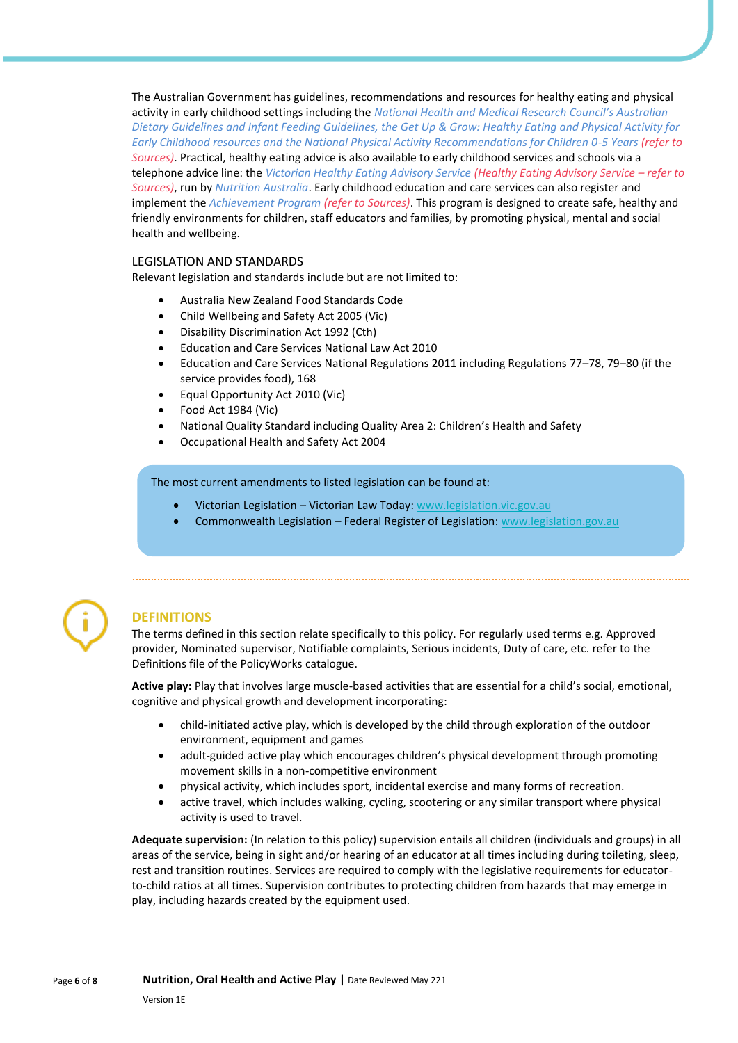The Australian Government has guidelines, recommendations and resources for healthy eating and physical activity in early childhood settings including the *National Health and Medical Research Council's Australian Dietary Guidelines and Infant Feeding Guidelines, the Get Up & Grow: Healthy Eating and Physical Activity for Early Childhood resources and the National Physical Activity Recommendations for Children 0-5 Years (refer to Sources)*. Practical, healthy eating advice is also available to early childhood services and schools via a telephone advice line: the *Victorian Healthy Eating Advisory Service (Healthy Eating Advisory Service – refer to Sources)*, run by *Nutrition Australia*. Early childhood education and care services can also register and implement the *Achievement Program (refer to Sources)*. This program is designed to create safe, healthy and friendly environments for children, staff educators and families, by promoting physical, mental and social health and wellbeing.

#### LEGISLATION AND STANDARDS

Relevant legislation and standards include but are not limited to:

- Australia New Zealand Food Standards Code
- Child Wellbeing and Safety Act 2005 (Vic)
- Disability Discrimination Act 1992 (Cth)
- Education and Care Services National Law Act 2010
- Education and Care Services National Regulations 2011 including Regulations 77–78, 79–80 (if the service provides food), 168
- Equal Opportunity Act 2010 (Vic)
- Food Act 1984 (Vic)
- National Quality Standard including Quality Area 2: Children's Health and Safety
- Occupational Health and Safety Act 2004

The most current amendments to listed legislation can be found at:

- Victorian Legislation Victorian Law Today: [www.legislation.vic.gov.au](http://www.legislation.vic.gov.au/)
- Commonwealth Legislation Federal Register of Legislation[: www.legislation.gov.au](http://www.legislation.gov.au/)



## **DEFINITIONS**

The terms defined in this section relate specifically to this policy. For regularly used terms e.g. Approved provider, Nominated supervisor, Notifiable complaints, Serious incidents, Duty of care, etc. refer to the Definitions file of the PolicyWorks catalogue.

**Active play:** Play that involves large muscle-based activities that are essential for a child's social, emotional, cognitive and physical growth and development incorporating:

- child-initiated active play, which is developed by the child through exploration of the outdoor environment, equipment and games
- adult-guided active play which encourages children's physical development through promoting movement skills in a non-competitive environment
- physical activity, which includes sport, incidental exercise and many forms of recreation.
- active travel, which includes walking, cycling, scootering or any similar transport where physical activity is used to travel.

**Adequate supervision:** (In relation to this policy) supervision entails all children (individuals and groups) in all areas of the service, being in sight and/or hearing of an educator at all times including during toileting, sleep, rest and transition routines. Services are required to comply with the legislative requirements for educatorto-child ratios at all times. Supervision contributes to protecting children from hazards that may emerge in play, including hazards created by the equipment used.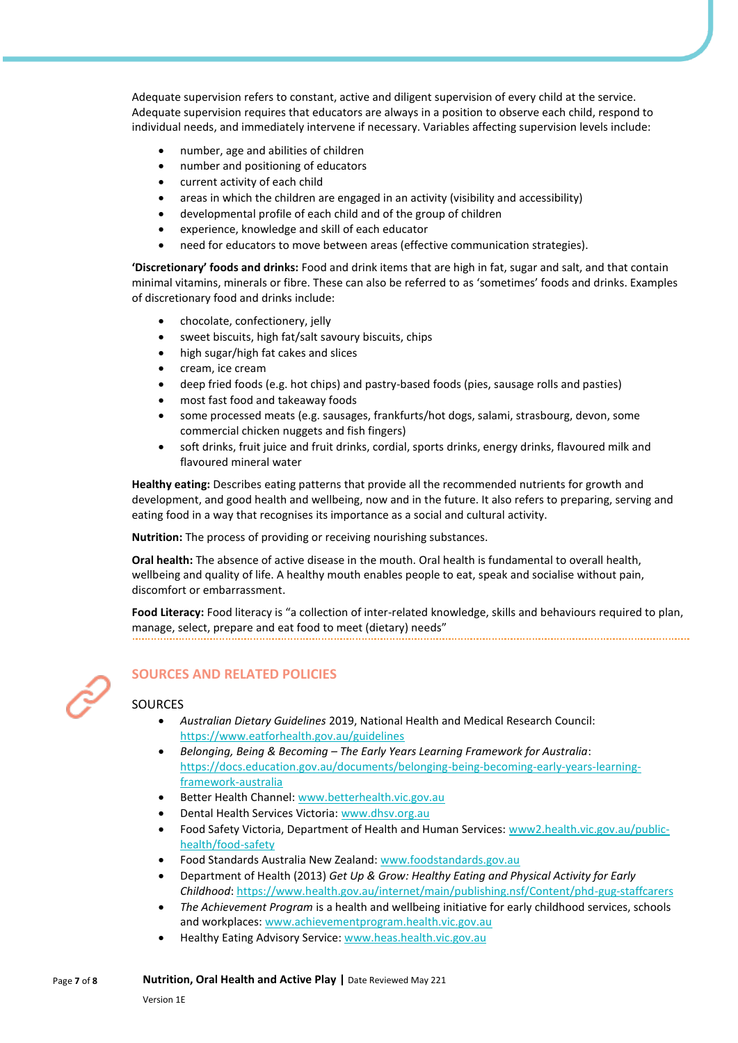Adequate supervision refers to constant, active and diligent supervision of every child at the service. Adequate supervision requires that educators are always in a position to observe each child, respond to individual needs, and immediately intervene if necessary. Variables affecting supervision levels include:

- number, age and abilities of children
- number and positioning of educators
- current activity of each child
- areas in which the children are engaged in an activity (visibility and accessibility)
- developmental profile of each child and of the group of children
- experience, knowledge and skill of each educator
- need for educators to move between areas (effective communication strategies).

**'Discretionary' foods and drinks:** Food and drink items that are high in fat, sugar and salt, and that contain minimal vitamins, minerals or fibre. These can also be referred to as 'sometimes' foods and drinks. Examples of discretionary food and drinks include:

- chocolate, confectionery, jelly
- sweet biscuits, high fat/salt savoury biscuits, chips
- high sugar/high fat cakes and slices
- cream, ice cream
- deep fried foods (e.g. hot chips) and pastry-based foods (pies, sausage rolls and pasties)
- most fast food and takeaway foods
- some processed meats (e.g. sausages, frankfurts/hot dogs, salami, strasbourg, devon, some commercial chicken nuggets and fish fingers)
- soft drinks, fruit juice and fruit drinks, cordial, sports drinks, energy drinks, flavoured milk and flavoured mineral water

**Healthy eating:** Describes eating patterns that provide all the recommended nutrients for growth and development, and good health and wellbeing, now and in the future. It also refers to preparing, serving and eating food in a way that recognises its importance as a social and cultural activity.

**Nutrition:** The process of providing or receiving nourishing substances.

**Oral health:** The absence of active disease in the mouth. Oral health is fundamental to overall health, wellbeing and quality of life. A healthy mouth enables people to eat, speak and socialise without pain, discomfort or embarrassment.

**Food Literacy:** Food literacy is "a collection of inter-related knowledge, skills and behaviours required to plan, manage, select, prepare and eat food to meet (dietary) needs"



## **SOURCES AND RELATED POLICIES**

## **SOURCES**

- *Australian Dietary Guidelines* 2019, National Health and Medical Research Council: <https://www.eatforhealth.gov.au/guidelines>
- *Belonging, Being & Becoming – The Early Years Learning Framework for Australia*: [https://docs.education.gov.au/documents/belonging-being-becoming-early-years-learning](https://docs.education.gov.au/documents/belonging-being-becoming-early-years-learning-framework-australia)[framework-australia](https://docs.education.gov.au/documents/belonging-being-becoming-early-years-learning-framework-australia)
- Better Health Channel[: www.betterhealth.vic.gov.au](http://www.betterhealth.vic.gov.au/)
- Dental Health Services Victoria: [www.dhsv.org.au](http://www.dhsv.org.au/)
- Food Safety Victoria, Department of Health and Human Services[: www2.health.vic.gov.au/public](https://www2.health.vic.gov.au/public-health/food-safety)[health/food-safety](https://www2.health.vic.gov.au/public-health/food-safety)
- Food Standards Australia New Zealand: [www.foodstandards.gov.au](http://www.foodstandards.gov.au/)
- Department of Health (2013) *Get Up & Grow: Healthy Eating and Physical Activity for Early Childhood*:<https://www.health.gov.au/internet/main/publishing.nsf/Content/phd-gug-staffcarers>
- *The Achievement Program* is a health and wellbeing initiative for early childhood services, schools and workplaces: [www.achievementprogram.health.vic.gov.au](http://www.achievementprogram.health.vic.gov.au/)
- Healthy Eating Advisory Service: [www.heas.health.vic.gov.au](http://heas.health.vic.gov.au/)